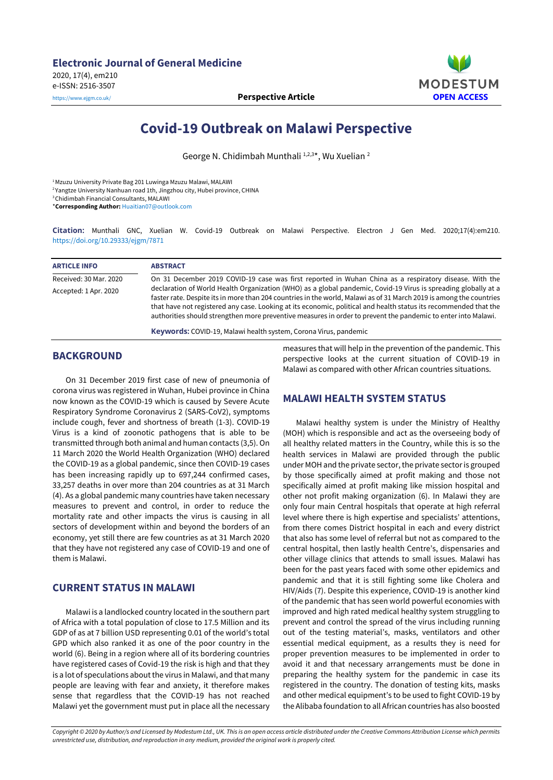

# **Covid-19 Outbreak on Malawi Perspective**

George N. Chidimbah Munthali 1,2,3\*, Wu Xuelian <sup>2</sup>

<sup>1</sup>Mzuzu University Private Bag 201 Luwinga Mzuzu Malawi, MALAWI

2 Yangtze University Nanhuan road 1th, Jingzhou city, Hubei province, CHINA

<sup>3</sup>Chidimbah Financial Consultants, MALAWI

\***Corresponding Author:** [Huaitian07@outlook.com](mailto:Huaitian07@outlook.com)

**Citation:** Munthali GNC, Xuelian W. Covid-19 Outbreak on Malawi Perspective. Electron J Gen Med. 2020;17(4):em210. <https://doi.org/10.29333/ejgm/7871>

| <b>ARTICLE INFO</b>    | <b>ABSTRACT</b>                                                                                                                                                                                                                                                                                                                                                                                                                                                            |
|------------------------|----------------------------------------------------------------------------------------------------------------------------------------------------------------------------------------------------------------------------------------------------------------------------------------------------------------------------------------------------------------------------------------------------------------------------------------------------------------------------|
| Received: 30 Mar. 2020 | On 31 December 2019 COVID-19 case was first reported in Wuhan China as a respiratory disease. With the                                                                                                                                                                                                                                                                                                                                                                     |
| Accepted: 1 Apr. 2020  | declaration of World Health Organization (WHO) as a global pandemic, Covid-19 Virus is spreading globally at a<br>faster rate. Despite its in more than 204 countries in the world, Malawi as of 31 March 2019 is among the countries<br>that have not registered any case. Looking at its economic, political and health status its recommended that the<br>authorities should strengthen more preventive measures in order to prevent the pandemic to enter into Malawi. |
|                        | <b>Keywords:</b> COVID-19 Malawi health system Corona Virus, pandemic                                                                                                                                                                                                                                                                                                                                                                                                      |

**Keywords:** COVID-19, Malawi health system, Corona Virus, pandemic

#### **BACKGROUND**

On 31 December 2019 first case of new of pneumonia of corona virus was registered in Wuhan, Hubei province in China now known as the COVID-19 which is caused by Severe Acute Respiratory Syndrome Coronavirus 2 (SARS-CoV2), symptoms include cough, fever and shortness of breath (1-3). COVID-19 Virus is a kind of zoonotic pathogens that is able to be transmitted through both animal and human contacts (3,5). On 11 March 2020 the World Health Organization (WHO) declared the COVID-19 as a global pandemic, since then COVID-19 cases has been increasing rapidly up to 697,244 confirmed cases, 33,257 deaths in over more than 204 countries as at 31 March (4). As a global pandemic many countries have taken necessary measures to prevent and control, in order to reduce the mortality rate and other impacts the virus is causing in all sectors of development within and beyond the borders of an economy, yet still there are few countries as at 31 March 2020 that they have not registered any case of COVID-19 and one of them is Malawi.

## **CURRENT STATUS IN MALAWI**

Malawi is a landlocked country located in the southern part of Africa with a total population of close to 17.5 Million and its GDP of as at 7 billion USD representing 0.01 of the world's total GPD which also ranked it as one of the poor country in the world (6). Being in a region where all of its bordering countries have registered cases of Covid-19 the risk is high and that they is a lot of speculations about the virus in Malawi, and that many people are leaving with fear and anxiety, it therefore makes sense that regardless that the COVID-19 has not reached Malawi yet the government must put in place all the necessary

measures that will help in the prevention of the pandemic. This perspective looks at the current situation of COVID-19 in Malawi as compared with other African countries situations.

## **MALAWI HEALTH SYSTEM STATUS**

Malawi healthy system is under the Ministry of Healthy (MOH) which is responsible and act as the overseeing body of all healthy related matters in the Country, while this is so the health services in Malawi are provided through the public under MOH and the private sector, the private sector is grouped by those specifically aimed at profit making and those not specifically aimed at profit making like mission hospital and other not profit making organization (6). In Malawi they are only four main Central hospitals that operate at high referral level where there is high expertise and specialists' attentions, from there comes District hospital in each and every district that also has some level of referral but not as compared to the central hospital, then lastly health Centre's, dispensaries and other village clinics that attends to small issues. Malawi has been for the past years faced with some other epidemics and pandemic and that it is still fighting some like Cholera and HIV/Aids (7). Despite this experience, COVID-19 is another kind of the pandemic that has seen world powerful economies with improved and high rated medical healthy system struggling to prevent and control the spread of the virus including running out of the testing material's, masks, ventilators and other essential medical equipment, as a results they is need for proper prevention measures to be implemented in order to avoid it and that necessary arrangements must be done in preparing the healthy system for the pandemic in case its registered in the country. The donation of testing kits, masks and other medical equipment's to be used to fight COVID-19 by the Alibaba foundation to all African countries has also boosted

Copyright © 2020 by Author/s and Licensed by Modestum Ltd., UK. This is an open access article distributed under the Creative Commons Attribution License which permits *unrestricted use, distribution, and reproduction in any medium, provided the original work is properly cited.*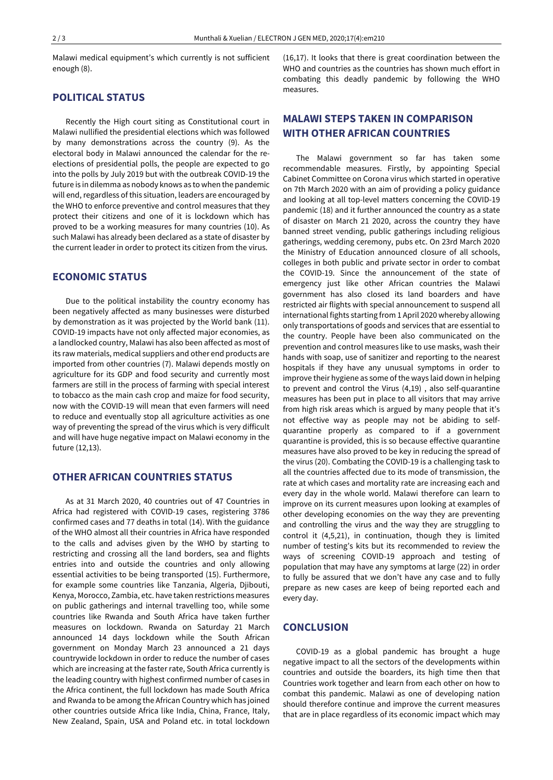Malawi medical equipment's which currently is not sufficient enough (8).

## **POLITICAL STATUS**

Recently the High court siting as Constitutional court in Malawi nullified the presidential elections which was followed by many demonstrations across the country (9). As the electoral body in Malawi announced the calendar for the reelections of presidential polls, the people are expected to go into the polls by July 2019 but with the outbreak COVID-19 the future is in dilemma as nobody knows as to when the pandemic will end, regardless of this situation, leaders are encouraged by the WHO to enforce preventive and control measures that they protect their citizens and one of it is lockdown which has proved to be a working measures for many countries (10). As such Malawi has already been declared as a state of disaster by the current leader in order to protect its citizen from the virus.

#### **ECONOMIC STATUS**

Due to the political instability the country economy has been negatively affected as many businesses were disturbed by demonstration as it was projected by the World bank (11). COVID-19 impacts have not only affected major economies, as a landlocked country, Malawi has also been affected as most of its raw materials, medical suppliers and other end products are imported from other countries (7). Malawi depends mostly on agriculture for its GDP and food security and currently most farmers are still in the process of farming with special interest to tobacco as the main cash crop and maize for food security, now with the COVID-19 will mean that even farmers will need to reduce and eventually stop all agriculture activities as one way of preventing the spread of the virus which is very difficult and will have huge negative impact on Malawi economy in the future (12,13).

## **OTHER AFRICAN COUNTRIES STATUS**

As at 31 March 2020, 40 countries out of 47 Countries in Africa had registered with COVID-19 cases, registering 3786 confirmed cases and 77 deaths in total (14). With the guidance of the WHO almost all their countries in Africa have responded to the calls and advises given by the WHO by starting to restricting and crossing all the land borders, sea and flights entries into and outside the countries and only allowing essential activities to be being transported (15). Furthermore, for example some countries like Tanzania, Algeria, Djibouti, Kenya, Morocco, Zambia, etc. have taken restrictions measures on public gatherings and internal travelling too, while some countries like Rwanda and South Africa have taken further measures on lockdown. Rwanda on Saturday 21 March announced 14 days lockdown while the South African government on Monday March 23 announced a 21 days countrywide lockdown in order to reduce the number of cases which are increasing at the faster rate, South Africa currently is the leading country with highest confirmed number of cases in the Africa continent, the full lockdown has made South Africa and Rwanda to be among the African Country which has joined other countries outside Africa like India, China, France, Italy, New Zealand, Spain, USA and Poland etc. in total lockdown (16,17). It looks that there is great coordination between the WHO and countries as the countries has shown much effort in combating this deadly pandemic by following the WHO measures.

# **MALAWI STEPS TAKEN IN COMPARISON WITH OTHER AFRICAN COUNTRIES**

The Malawi government so far has taken some recommendable measures. Firstly, by appointing Special Cabinet Committee on Corona virus which started in operative on 7th March 2020 with an aim of providing a policy guidance and looking at all top-level matters concerning the COVID-19 pandemic (18) and it further announced the country as a state of disaster on March 21 2020, across the country they have banned street vending, public gatherings including religious gatherings, wedding ceremony, pubs etc. On 23rd March 2020 the Ministry of Education announced closure of all schools, colleges in both public and private sector in order to combat the COVID-19. Since the announcement of the state of emergency just like other African countries the Malawi government has also closed its land boarders and have restricted air flights with special announcement to suspend all international fights starting from 1 April 2020 whereby allowing only transportations of goods and services that are essential to the country. People have been also communicated on the prevention and control measures like to use masks, wash their hands with soap, use of sanitizer and reporting to the nearest hospitals if they have any unusual symptoms in order to improve their hygiene as some of the ways laid down in helping to prevent and control the Virus (4,19) , also self-quarantine measures has been put in place to all visitors that may arrive from high risk areas which is argued by many people that it's not effective way as people may not be abiding to selfquarantine properly as compared to if a government quarantine is provided, this is so because effective quarantine measures have also proved to be key in reducing the spread of the virus (20). Combating the COVID-19 is a challenging task to all the countries affected due to its mode of transmission, the rate at which cases and mortality rate are increasing each and every day in the whole world. Malawi therefore can learn to improve on its current measures upon looking at examples of other developing economies on the way they are preventing and controlling the virus and the way they are struggling to control it (4,5,21), in continuation, though they is limited number of testing's kits but its recommended to review the ways of screening COVID-19 approach and testing of population that may have any symptoms at large (22) in order to fully be assured that we don't have any case and to fully prepare as new cases are keep of being reported each and every day.

#### **CONCLUSION**

COVID-19 as a global pandemic has brought a huge negative impact to all the sectors of the developments within countries and outside the boarders, its high time then that Countries work together and learn from each other on how to combat this pandemic. Malawi as one of developing nation should therefore continue and improve the current measures that are in place regardless of its economic impact which may